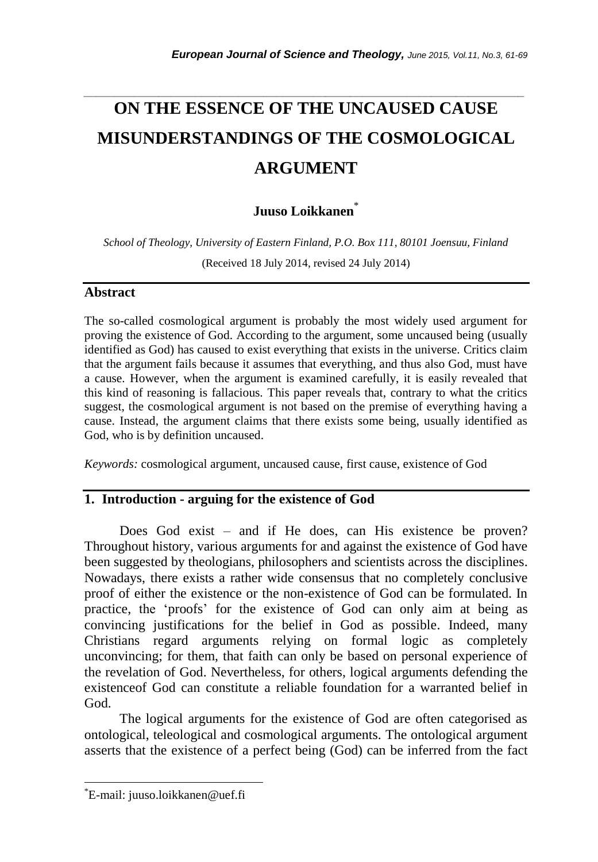# *\_\_\_\_\_\_\_\_\_\_\_\_\_\_\_\_\_\_\_\_\_\_\_\_\_\_\_\_\_\_\_\_\_\_\_\_\_\_\_\_\_\_\_\_\_\_\_\_\_\_\_\_\_\_\_\_\_\_\_\_\_\_\_\_\_\_\_\_\_\_\_* **ON THE ESSENCE OF THE UNCAUSED CAUSE MISUNDERSTANDINGS OF THE COSMOLOGICAL ARGUMENT**

# **Juuso Loikkanen**\*

*School of Theology, University of Eastern Finland, P.O. Box 111, 80101 Joensuu, Finland*

(Received 18 July 2014, revised 24 July 2014)

## **Abstract**

The so-called cosmological argument is probably the most widely used argument for proving the existence of God. According to the argument, some uncaused being (usually identified as God) has caused to exist everything that exists in the universe. Critics claim that the argument fails because it assumes that everything, and thus also God, must have a cause. However, when the argument is examined carefully, it is easily revealed that this kind of reasoning is fallacious. This paper reveals that, contrary to what the critics suggest, the cosmological argument is not based on the premise of everything having a cause. Instead, the argument claims that there exists some being, usually identified as God, who is by definition uncaused.

*Keywords:* cosmological argument, uncaused cause, first cause, existence of God

## **1. Introduction - arguing for the existence of God**

Does God exist – and if He does, can His existence be proven? Throughout history, various arguments for and against the existence of God have been suggested by theologians, philosophers and scientists across the disciplines. Nowadays, there exists a rather wide consensus that no completely conclusive proof of either the existence or the non-existence of God can be formulated. In practice, the "proofs" for the existence of God can only aim at being as convincing justifications for the belief in God as possible. Indeed, many Christians regard arguments relying on formal logic as completely unconvincing; for them, that faith can only be based on personal experience of the revelation of God. Nevertheless, for others, logical arguments defending the existenceof God can constitute a reliable foundation for a warranted belief in God.

The logical arguments for the existence of God are often categorised as ontological, teleological and cosmological arguments. The ontological argument asserts that the existence of a perfect being (God) can be inferred from the fact

l

<sup>\*</sup>E-mail: juuso.loikkanen@uef.fi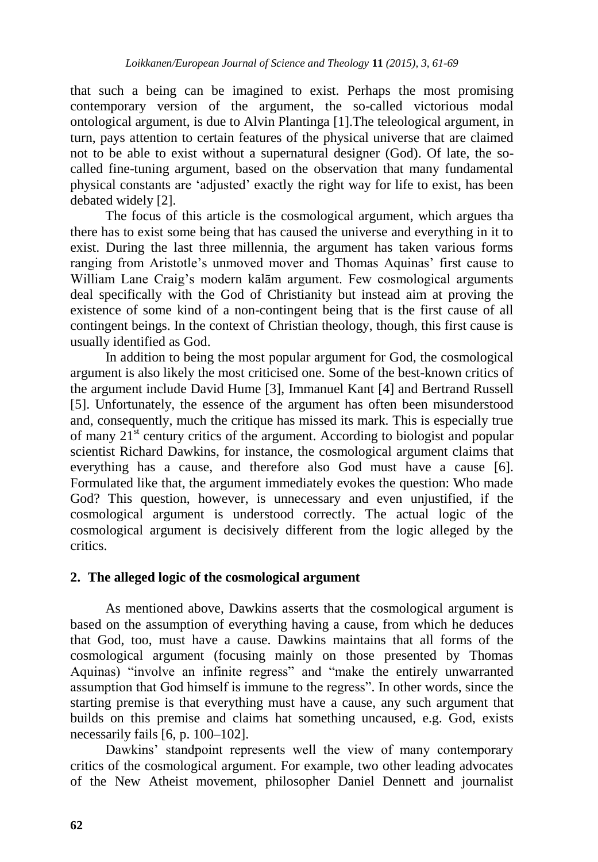that such a being can be imagined to exist. Perhaps the most promising contemporary version of the argument, the so-called victorious modal ontological argument, is due to Alvin Plantinga [1].The teleological argument, in turn, pays attention to certain features of the physical universe that are claimed not to be able to exist without a supernatural designer (God). Of late, the socalled fine-tuning argument, based on the observation that many fundamental physical constants are "adjusted" exactly the right way for life to exist, has been debated widely [2].

The focus of this article is the cosmological argument, which argues tha there has to exist some being that has caused the universe and everything in it to exist. During the last three millennia, the argument has taken various forms ranging from Aristotle"s unmoved mover and Thomas Aquinas" first cause to William Lane Craig"s modern kalām argument. Few cosmological arguments deal specifically with the God of Christianity but instead aim at proving the existence of some kind of a non-contingent being that is the first cause of all contingent beings. In the context of Christian theology, though, this first cause is usually identified as God.

In addition to being the most popular argument for God, the cosmological argument is also likely the most criticised one. Some of the best-known critics of the argument include David Hume [3], Immanuel Kant [4] and Bertrand Russell [5]. Unfortunately, the essence of the argument has often been misunderstood and, consequently, much the critique has missed its mark. This is especially true of many  $21<sup>st</sup>$  century critics of the argument. According to biologist and popular scientist Richard Dawkins, for instance, the cosmological argument claims that everything has a cause, and therefore also God must have a cause [6]. Formulated like that, the argument immediately evokes the question: Who made God? This question, however, is unnecessary and even unjustified, if the cosmological argument is understood correctly. The actual logic of the cosmological argument is decisively different from the logic alleged by the critics.

## **2. The alleged logic of the cosmological argument**

As mentioned above, Dawkins asserts that the cosmological argument is based on the assumption of everything having a cause, from which he deduces that God, too, must have a cause. Dawkins maintains that all forms of the cosmological argument (focusing mainly on those presented by Thomas Aquinas) "involve an infinite regress" and "make the entirely unwarranted assumption that God himself is immune to the regress". In other words, since the starting premise is that everything must have a cause, any such argument that builds on this premise and claims hat something uncaused, e.g. God, exists necessarily fails [6, p. 100–102].

Dawkins' standpoint represents well the view of many contemporary critics of the cosmological argument. For example, two other leading advocates of the New Atheist movement, philosopher Daniel Dennett and journalist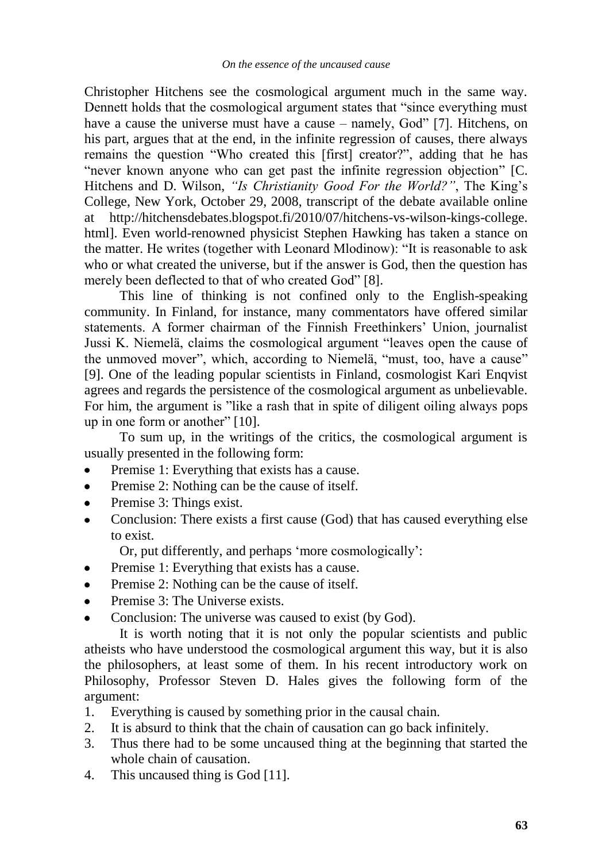Christopher Hitchens see the cosmological argument much in the same way. Dennett holds that the cosmological argument states that "since everything must have a cause the universe must have a cause – namely, God" [7]. Hitchens, on his part, argues that at the end, in the infinite regression of causes, there always remains the question "Who created this [first] creator?", adding that he has "never known anyone who can get past the infinite regression objection" [C. Hitchens and D. Wilson, *"Is Christianity Good For the World?"*, The King's College, New York, October 29, 2008, transcript of the debate available online at http://hitchensdebates.blogspot.fi/2010/07/hitchens-vs-wilson-kings-college. html]. Even world-renowned physicist Stephen Hawking has taken a stance on the matter. He writes (together with Leonard Mlodinow): "It is reasonable to ask who or what created the universe, but if the answer is God, then the question has merely been deflected to that of who created God" [8].

This line of thinking is not confined only to the English-speaking community. In Finland, for instance, many commentators have offered similar statements. A former chairman of the Finnish Freethinkers' Union, journalist Jussi K. Niemelä, claims the cosmological argument "leaves open the cause of the unmoved mover", which, according to Niemelä, "must, too, have a cause" [9]. One of the leading popular scientists in Finland, cosmologist Kari Enqvist agrees and regards the persistence of the cosmological argument as unbelievable. For him, the argument is "like a rash that in spite of diligent oiling always pops up in one form or another" [10].

To sum up, in the writings of the critics, the cosmological argument is usually presented in the following form:

- Premise 1: Everything that exists has a cause.
- Premise 2: Nothing can be the cause of itself.  $\bullet$
- Premise 3: Things exist.
- Conclusion: There exists a first cause (God) that has caused everything else to exist.

Or, put differently, and perhaps "more cosmologically":

- Premise 1: Everything that exists has a cause.
- Premise 2: Nothing can be the cause of itself.
- Premise 3: The Universe exists.
- Conclusion: The universe was caused to exist (by God).

It is worth noting that it is not only the popular scientists and public atheists who have understood the cosmological argument this way, but it is also the philosophers, at least some of them. In his recent introductory work on Philosophy, Professor Steven D. Hales gives the following form of the argument:

- 1. Everything is caused by something prior in the causal chain.
- 2. It is absurd to think that the chain of causation can go back infinitely.
- 3. Thus there had to be some uncaused thing at the beginning that started the whole chain of causation.
- 4. This uncaused thing is God [11].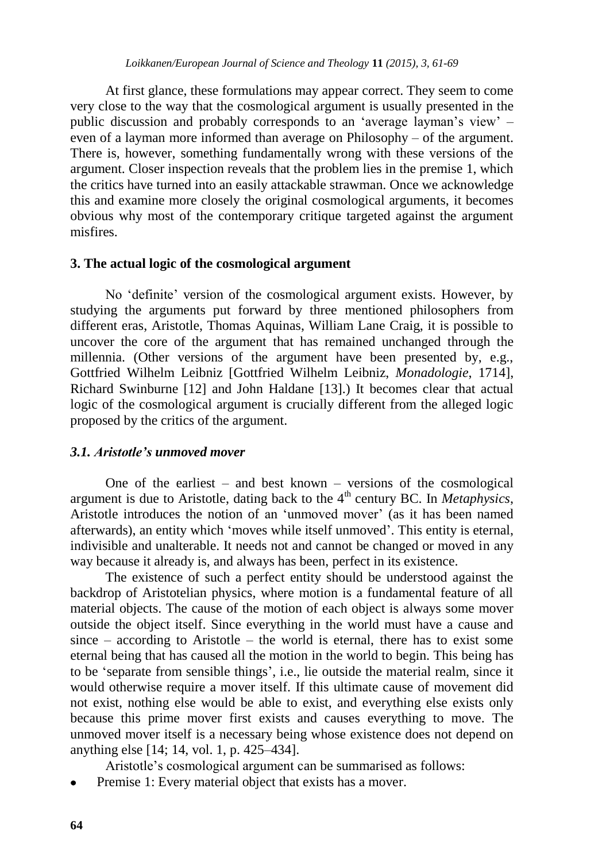At first glance, these formulations may appear correct. They seem to come very close to the way that the cosmological argument is usually presented in the public discussion and probably corresponds to an "average layman"s view" – even of a layman more informed than average on Philosophy – of the argument. There is, however, something fundamentally wrong with these versions of the argument. Closer inspection reveals that the problem lies in the premise 1, which the critics have turned into an easily attackable strawman. Once we acknowledge this and examine more closely the original cosmological arguments, it becomes obvious why most of the contemporary critique targeted against the argument misfires.

#### **3. The actual logic of the cosmological argument**

No "definite" version of the cosmological argument exists. However, by studying the arguments put forward by three mentioned philosophers from different eras, Aristotle, Thomas Aquinas, William Lane Craig, it is possible to uncover the core of the argument that has remained unchanged through the millennia. (Other versions of the argument have been presented by, e.g., Gottfried Wilhelm Leibniz [Gottfried Wilhelm Leibniz, *Monadologie*, 1714], Richard Swinburne [12] and John Haldane [13].) It becomes clear that actual logic of the cosmological argument is crucially different from the alleged logic proposed by the critics of the argument.

#### *3.1. Aristotle's unmoved mover*

One of the earliest – and best known – versions of the cosmological argument is due to Aristotle, dating back to the 4<sup>th</sup> century BC. In *Metaphysics*, Aristotle introduces the notion of an 'unmoved mover' (as it has been named afterwards), an entity which "moves while itself unmoved". This entity is eternal, indivisible and unalterable. It needs not and cannot be changed or moved in any way because it already is, and always has been, perfect in its existence.

The existence of such a perfect entity should be understood against the backdrop of Aristotelian physics, where motion is a fundamental feature of all material objects. The cause of the motion of each object is always some mover outside the object itself. Since everything in the world must have a cause and  $since - according to Aristotle - the world is eternal, there has to exist some$ eternal being that has caused all the motion in the world to begin. This being has to be "separate from sensible things", i.e., lie outside the material realm, since it would otherwise require a mover itself. If this ultimate cause of movement did not exist, nothing else would be able to exist, and everything else exists only because this prime mover first exists and causes everything to move. The unmoved mover itself is a necessary being whose existence does not depend on anything else [14; 14, vol. 1, p. 425–434].

Aristotle"s cosmological argument can be summarised as follows:

Premise 1: Every material object that exists has a mover.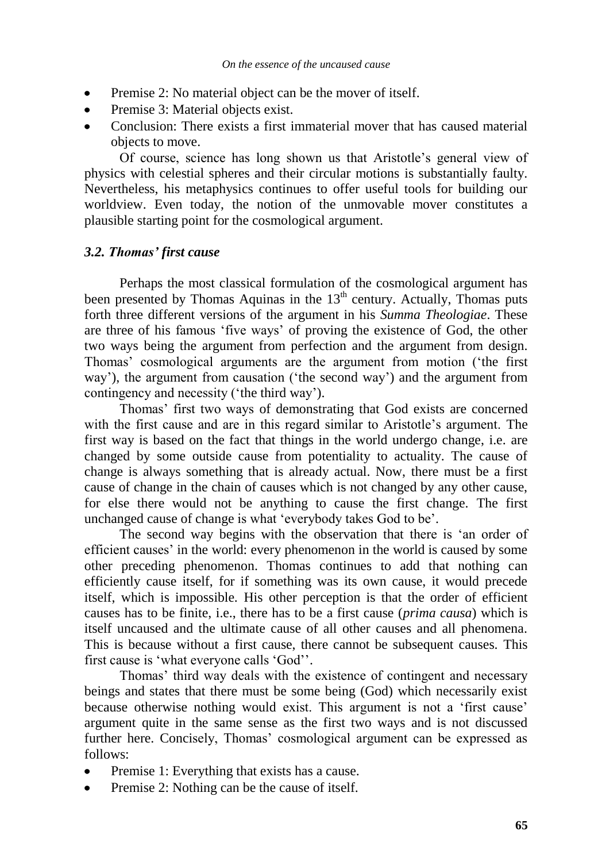- Premise 2: No material object can be the mover of itself.
- Premise 3: Material objects exist.
- Conclusion: There exists a first immaterial mover that has caused material objects to move.

Of course, science has long shown us that Aristotle"s general view of physics with celestial spheres and their circular motions is substantially faulty. Nevertheless, his metaphysics continues to offer useful tools for building our worldview. Even today, the notion of the unmovable mover constitutes a plausible starting point for the cosmological argument.

## *3.2. Thomas' first cause*

Perhaps the most classical formulation of the cosmological argument has been presented by Thomas Aquinas in the  $13<sup>th</sup>$  century. Actually, Thomas puts forth three different versions of the argument in his *Summa Theologiae*. These are three of his famous "five ways" of proving the existence of God, the other two ways being the argument from perfection and the argument from design. Thomas" cosmological arguments are the argument from motion ("the first way"), the argument from causation ("the second way") and the argument from contingency and necessity ("the third way").

Thomas" first two ways of demonstrating that God exists are concerned with the first cause and are in this regard similar to Aristotle's argument. The first way is based on the fact that things in the world undergo change, i.e. are changed by some outside cause from potentiality to actuality. The cause of change is always something that is already actual. Now, there must be a first cause of change in the chain of causes which is not changed by any other cause, for else there would not be anything to cause the first change. The first unchanged cause of change is what "everybody takes God to be".

The second way begins with the observation that there is "an order of efficient causes" in the world: every phenomenon in the world is caused by some other preceding phenomenon. Thomas continues to add that nothing can efficiently cause itself, for if something was its own cause, it would precede itself, which is impossible. His other perception is that the order of efficient causes has to be finite, i.e., there has to be a first cause (*prima causa*) which is itself uncaused and the ultimate cause of all other causes and all phenomena. This is because without a first cause, there cannot be subsequent causes. This first cause is 'what everyone calls 'God''.

Thomas" third way deals with the existence of contingent and necessary beings and states that there must be some being (God) which necessarily exist because otherwise nothing would exist. This argument is not a 'first cause' argument quite in the same sense as the first two ways and is not discussed further here. Concisely, Thomas' cosmological argument can be expressed as follows:

- Premise 1: Everything that exists has a cause.
- Premise 2: Nothing can be the cause of itself.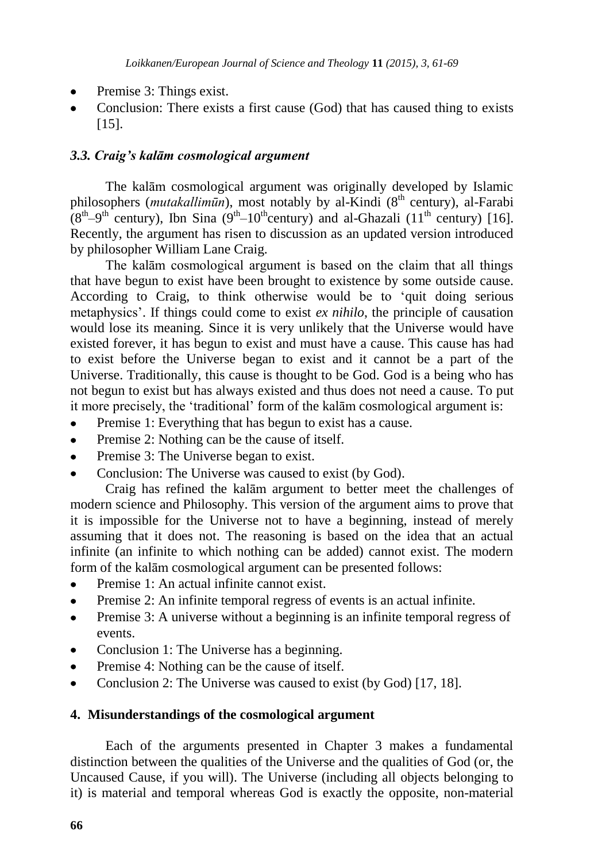- Premise 3: Things exist.
- Conclusion: There exists a first cause (God) that has caused thing to exists [15].

## *3.3. Craig's kalām cosmological argument*

The kalām cosmological argument was originally developed by Islamic philosophers (*mutakallimūn*), most notably by al-Kindi (8<sup>th</sup> century), al-Farabi  $(8<sup>th</sup>-9<sup>th</sup>$  century), Ibn Sina  $(9<sup>th</sup>-10<sup>th</sup>$ century) and al-Ghazali  $(11<sup>th</sup>$  century) [16]. Recently, the argument has risen to discussion as an updated version introduced by philosopher William Lane Craig.

The kalām cosmological argument is based on the claim that all things that have begun to exist have been brought to existence by some outside cause. According to Craig, to think otherwise would be to "quit doing serious metaphysics". If things could come to exist *ex nihilo*, the principle of causation would lose its meaning. Since it is very unlikely that the Universe would have existed forever, it has begun to exist and must have a cause. This cause has had to exist before the Universe began to exist and it cannot be a part of the Universe. Traditionally, this cause is thought to be God. God is a being who has not begun to exist but has always existed and thus does not need a cause. To put it more precisely, the "traditional" form of the kalām cosmological argument is:

- Premise 1: Everything that has begun to exist has a cause.
- Premise 2: Nothing can be the cause of itself.
- Premise 3: The Universe began to exist.  $\blacksquare$
- Conclusion: The Universe was caused to exist (by God).

Craig has refined the kalām argument to better meet the challenges of modern science and Philosophy. This version of the argument aims to prove that it is impossible for the Universe not to have a beginning, instead of merely assuming that it does not. The reasoning is based on the idea that an actual infinite (an infinite to which nothing can be added) cannot exist. The modern form of the kalām cosmological argument can be presented follows:

- Premise 1: An actual infinite cannot exist.
- Premise 2: An infinite temporal regress of events is an actual infinite.
- Premise 3: A universe without a beginning is an infinite temporal regress of  $\bullet$ events.
- Conclusion 1: The Universe has a beginning.
- Premise 4: Nothing can be the cause of itself.  $\bullet$
- Conclusion 2: The Universe was caused to exist (by God) [17, 18].  $\bullet$

## **4. Misunderstandings of the cosmological argument**

Each of the arguments presented in Chapter 3 makes a fundamental distinction between the qualities of the Universe and the qualities of God (or, the Uncaused Cause, if you will). The Universe (including all objects belonging to it) is material and temporal whereas God is exactly the opposite, non-material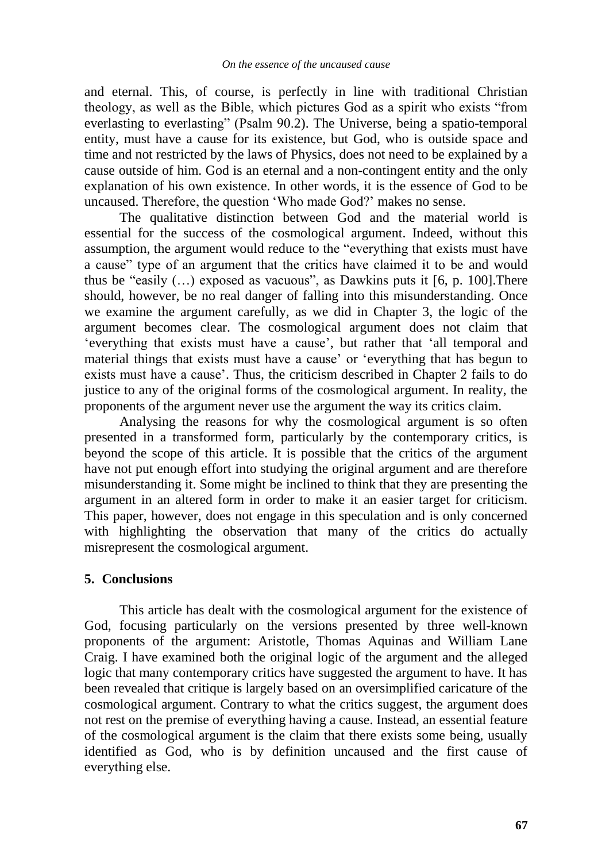and eternal. This, of course, is perfectly in line with traditional Christian theology, as well as the Bible, which pictures God as a spirit who exists "from everlasting to everlasting" (Psalm 90.2). The Universe, being a spatio-temporal entity, must have a cause for its existence, but God, who is outside space and time and not restricted by the laws of Physics, does not need to be explained by a cause outside of him. God is an eternal and a non-contingent entity and the only explanation of his own existence. In other words, it is the essence of God to be uncaused. Therefore, the question "Who made God?" makes no sense.

The qualitative distinction between God and the material world is essential for the success of the cosmological argument. Indeed, without this assumption, the argument would reduce to the "everything that exists must have a cause" type of an argument that the critics have claimed it to be and would thus be "easily  $(...)$  exposed as vacuous", as Dawkins puts it [6, p. 100]. There should, however, be no real danger of falling into this misunderstanding. Once we examine the argument carefully, as we did in Chapter 3, the logic of the argument becomes clear. The cosmological argument does not claim that "everything that exists must have a cause", but rather that "all temporal and material things that exists must have a cause" or "everything that has begun to exists must have a cause". Thus, the criticism described in Chapter 2 fails to do justice to any of the original forms of the cosmological argument. In reality, the proponents of the argument never use the argument the way its critics claim.

Analysing the reasons for why the cosmological argument is so often presented in a transformed form, particularly by the contemporary critics, is beyond the scope of this article. It is possible that the critics of the argument have not put enough effort into studying the original argument and are therefore misunderstanding it. Some might be inclined to think that they are presenting the argument in an altered form in order to make it an easier target for criticism. This paper, however, does not engage in this speculation and is only concerned with highlighting the observation that many of the critics do actually misrepresent the cosmological argument.

#### **5. Conclusions**

This article has dealt with the cosmological argument for the existence of God, focusing particularly on the versions presented by three well-known proponents of the argument: Aristotle, Thomas Aquinas and William Lane Craig. I have examined both the original logic of the argument and the alleged logic that many contemporary critics have suggested the argument to have. It has been revealed that critique is largely based on an oversimplified caricature of the cosmological argument. Contrary to what the critics suggest, the argument does not rest on the premise of everything having a cause. Instead, an essential feature of the cosmological argument is the claim that there exists some being, usually identified as God, who is by definition uncaused and the first cause of everything else.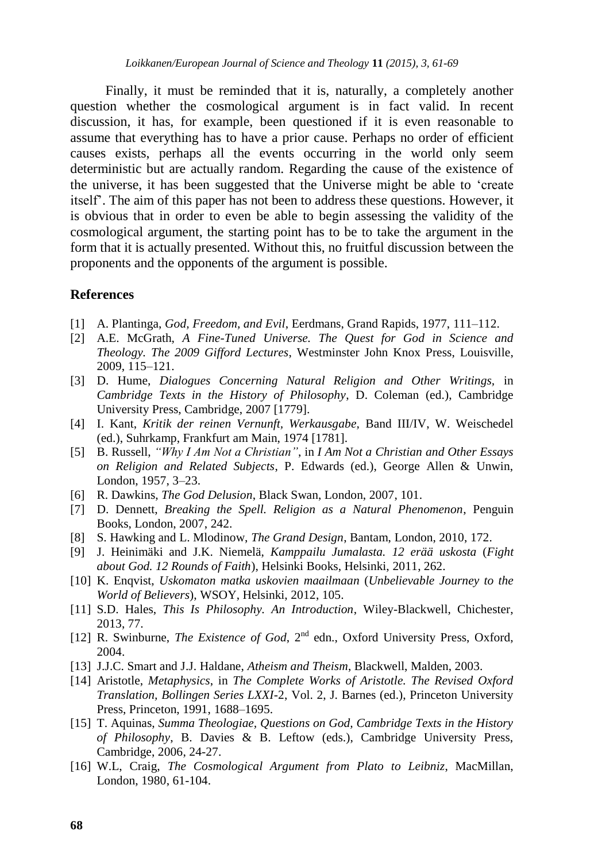Finally, it must be reminded that it is, naturally, a completely another question whether the cosmological argument is in fact valid. In recent discussion, it has, for example, been questioned if it is even reasonable to assume that everything has to have a prior cause. Perhaps no order of efficient causes exists, perhaps all the events occurring in the world only seem deterministic but are actually random. Regarding the cause of the existence of the universe, it has been suggested that the Universe might be able to "create itself". The aim of this paper has not been to address these questions. However, it is obvious that in order to even be able to begin assessing the validity of the cosmological argument, the starting point has to be to take the argument in the form that it is actually presented. Without this, no fruitful discussion between the proponents and the opponents of the argument is possible.

#### **References**

- [1] A. Plantinga, *God, Freedom, and Evil*, Eerdmans, Grand Rapids, 1977, 111–112.
- [2] A.E. McGrath, *A Fine-Tuned Universe. The Quest for God in Science and Theology. The 2009 Gifford Lectures*, Westminster John Knox Press, Louisville, 2009, 115–121.
- [3] D. Hume, *Dialogues Concerning Natural Religion and Other Writings,* in *Cambridge Texts in the History of Philosophy*, D. Coleman (ed.), Cambridge University Press, Cambridge, 2007 [1779].
- [4] I. Kant, *Kritik der reinen Vernunft, Werkausgabe,* Band III/IV, W. Weischedel (ed.), Suhrkamp, Frankfurt am Main, 1974 [1781].
- [5] B. Russell, *"Why I Am Not a Christian"*, in *I Am Not a Christian and Other Essays on Religion and Related Subjects*, P. Edwards (ed.), George Allen & Unwin, London, 1957, 3–23.
- [6] R. Dawkins, *The God Delusion*, Black Swan, London, 2007, 101.
- [7] D. Dennett, *Breaking the Spell. Religion as a Natural Phenomenon*, Penguin Books, London, 2007, 242.
- [8] S. Hawking and L. Mlodinow, *The Grand Design*, Bantam, London, 2010, 172.
- [9] J. Heinimäki and J.K. Niemelä, *Kamppailu Jumalasta. 12 erää uskosta* (*Fight about God. 12 Rounds of Faith*), Helsinki Books, Helsinki, 2011, 262.
- [10] K. Enqvist, *Uskomaton matka uskovien maailmaan* (*Unbelievable Journey to the World of Believers*), WSOY, Helsinki, 2012, 105.
- [11] S.D. Hales, *This Is Philosophy. An Introduction*, Wiley-Blackwell, Chichester, 2013, 77.
- [12] R. Swinburne, *The Existence of God*, 2<sup>nd</sup> edn., Oxford University Press, Oxford, 2004.
- [13] J.J.C. Smart and J.J. Haldane, *Atheism and Theism*, Blackwell, Malden, 2003.
- [14] Aristotle, *Metaphysics*, in *The Complete Works of Aristotle. The Revised Oxford Translation, Bollingen Series LXXI-*2, Vol. 2, J. Barnes (ed.), Princeton University Press, Princeton, 1991, 1688–1695.
- [15] T. Aquinas, *Summa Theologiae, Questions on God, Cambridge Texts in the History of Philosophy*, B. Davies & B. Leftow (eds.), Cambridge University Press, Cambridge, 2006, 24-27.
- [16] W.L, Craig, *The Cosmological Argument from Plato to Leibniz*, MacMillan, London, 1980, 61-104.